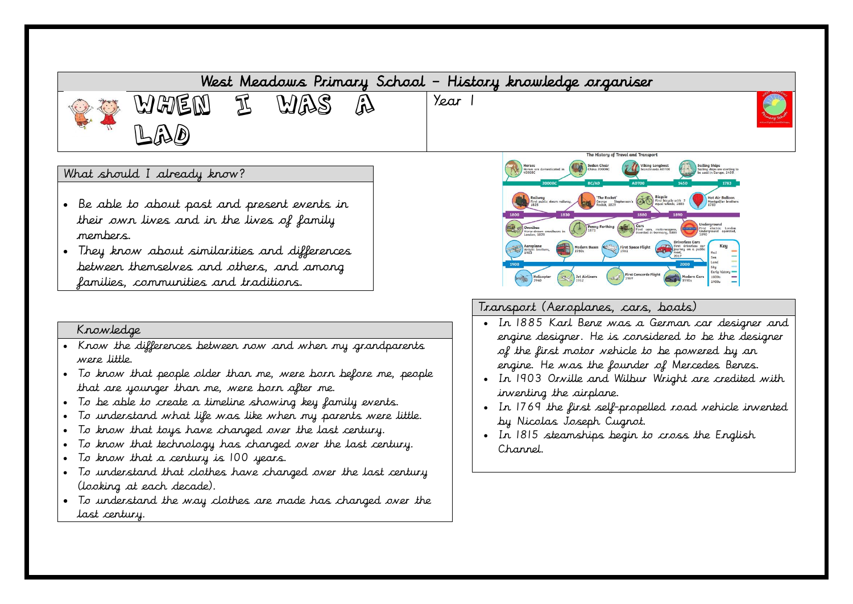